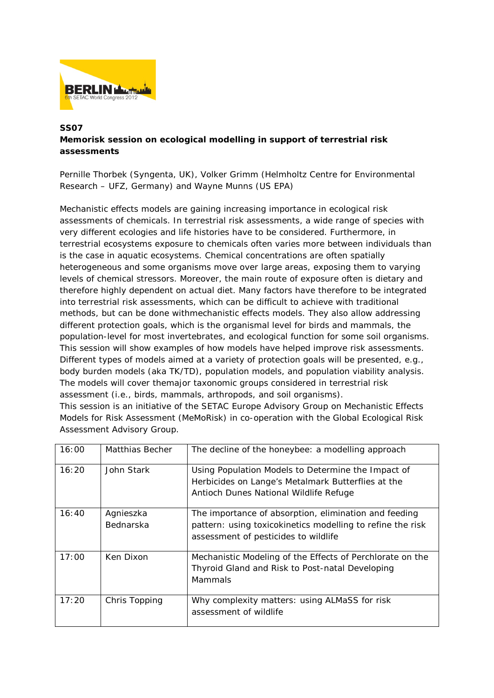

## **SS07**

## **Memorisk session on ecological modelling in support of terrestrial risk assessments**

Pernille Thorbek (Syngenta, UK), Volker Grimm (Helmholtz Centre for Environmental Research – UFZ, Germany) and Wayne Munns (US EPA)

Mechanistic effects models are gaining increasing importance in ecological risk assessments of chemicals. In terrestrial risk assessments, a wide range of species with very different ecologies and life histories have to be considered. Furthermore, in terrestrial ecosystems exposure to chemicals often varies more between individuals than is the case in aquatic ecosystems. Chemical concentrations are often spatially heterogeneous and some organisms move over large areas, exposing them to varying levels of chemical stressors. Moreover, the main route of exposure often is dietary and therefore highly dependent on actual diet. Many factors have therefore to be integrated into terrestrial risk assessments, which can be difficult to achieve with traditional methods, but can be done withmechanistic effects models. They also allow addressing different protection goals, which is the organismal level for birds and mammals, the population-level for most invertebrates, and ecological function for some soil organisms. This session will show examples of how models have helped improve risk assessments. Different types of models aimed at a variety of protection goals will be presented, e.g., body burden models (aka TK/TD), population models, and population viability analysis. The models will cover themajor taxonomic groups considered in terrestrial risk assessment (i.e., birds, mammals, arthropods, and soil organisms).

This session is an initiative of the SETAC Europe Advisory Group on Mechanistic Effects Models for Risk Assessment (MeMoRisk) in co-operation with the Global Ecological Risk Assessment Advisory Group.

| 16:00 | Matthias Becher               | The decline of the honeybee: a modelling approach                                                                                                           |
|-------|-------------------------------|-------------------------------------------------------------------------------------------------------------------------------------------------------------|
| 16:20 | John Stark                    | Using Population Models to Determine the Impact of<br>Herbicides on Lange's Metalmark Butterflies at the<br>Antioch Dunes National Wildlife Refuge          |
| 16:40 | Agnieszka<br><b>Bednarska</b> | The importance of absorption, elimination and feeding<br>pattern: using toxicokinetics modelling to refine the risk<br>assessment of pesticides to wildlife |
| 17:00 | Ken Dixon                     | Mechanistic Modeling of the Effects of Perchlorate on the<br>Thyroid Gland and Risk to Post-natal Developing<br><b>Mammals</b>                              |
| 17:20 | Chris Topping                 | Why complexity matters: using ALMaSS for risk<br>assessment of wildlife                                                                                     |